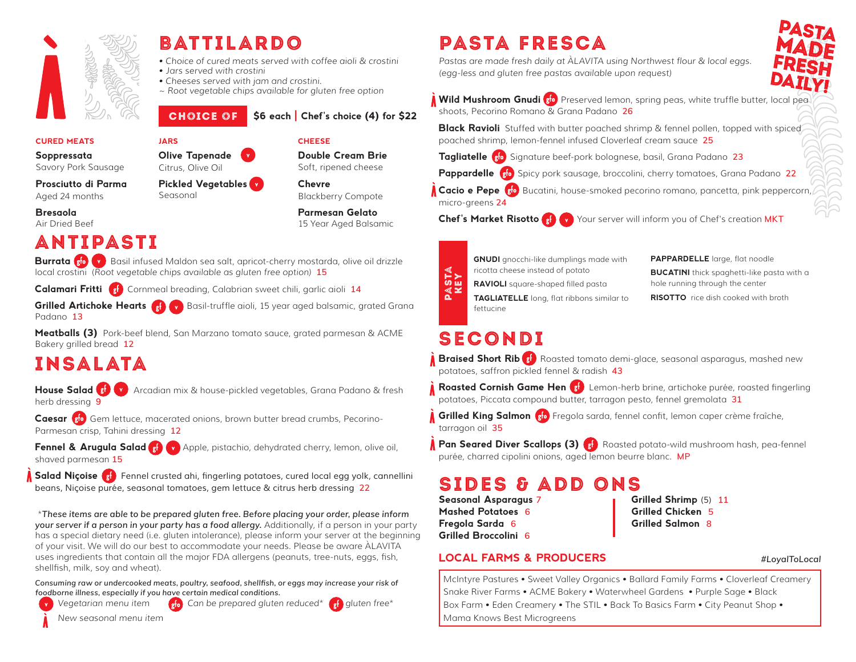

## battilardo

- *Choice of cured meats served with coffee aioli & crostini*
- *Jars served with crostini*
- *Cheeses served with jam and crostini.*
- *~ Root vegetable chips available for gluten free option*

## CHOICE OF \$6 each Chef's choice (4) for \$22

#### CURED MEATS

Soppressata Savory Pork Sausage

Prosciutto di Parma Aged 24 months

Bresaola Air Dried Beef

## ANTIPASTi

Burrata <sub>80</sub> v Basil infused Maldon sea salt, apricot-cherry mostarda, olive oil drizzle local crostini (*Root vegetable chips available as gluten free option)* **15**

**Calamari Fritti** C<sub>st</sub> Cornmeal breading, Calabrian sweet chili, garlic aioli 14

Olive Tapenade Citrus, Olive Oil

Seasonal

JARS

Pickled Vegetables

**Grilled Artichoke Hearts Cap Cover** Basil-truffle aioli, 15 year aged balsamic, grated Grana Padano **13**

Meatballs (3) Pork-beef blend, San Marzano tomato sauce, grated parmesan & ACME Bakery grilled bread **12**

## Insalata

House Salad **8 You Arcadian mix & house-pickled vegetables, Grana Padano & fresh** herb dressing **9**

Caesar sto Gem lettuce, macerated onions, brown butter bread crumbs, Pecorino-Parmesan crisp, Tahini dressing **12**

shaved parmesan **15**

Fennel & Arugula Salad (s) (v) Apple, pistachio, dehydrated cherry, lemon, olive oil,

Salad Niçoise  $\left( \frac{1}{2} \right)$  Fennel crusted ahi, fingerling potatoes, cured local egg yolk, cannellini beans, Niçoise purée, seasonal tomatoes, gem lettuce & citrus herb dressing **22**

 \**These items are able to be prepared gluten free. Before placing your order, please inform your server if a person in your party has a food allergy.* Additionally, if a person in your party has a special dietary need (i.e. gluten intolerance), please inform your server at the beginning of your visit. We will do our best to accommodate your needs. Please be aware ÀLAVITA uses ingredients that contain all the major FDA allergens (peanuts, tree-nuts, eggs, fish, shellfish, milk, soy and wheat).

*Consuming raw or undercooked meats, poultry, seafood, shellfish, or eggs may increase your risk of foodborne illness, especially if you have certain medical conditions.*

Vegetarian menu item **G<sub>RIO</sub>** Can be prepared gluten reduced<sup>\*</sup> Gluten free\*

 *New seasonal menu item*

#### **CHEESE**

Double Cream Brie Soft, ripened cheese

Chevre Blackberry Compote

Parmesan Gelato 15 Year Aged Balsamic

> **GNUDI** gnocchi-like dumplings made with ricotta cheese instead of potato RAVIOLI square-shaped filled pasta TAGLIATELLE long, flat ribbons similar to

pasta fresca

*(egg-less and gluten free pastas available upon request)*

PAPPARDELLE large, flat noodle **BUCATINI** thick spaghetti-like pasta with a hole running through the center

**RISOTTO** rice dish cooked with broth

## **SECONDI**

fettucine

Braised Short Rib (st) Roasted tomato demi-glace, seasonal asparagus, mashed new potatoes, saffron pickled fennel & radish **43**

Roasted Cornish Game Hen (s<sup>t.</sup>) Lemon-herb brine, artichoke purée, roasted fingerling potatoes, Piccata compound butter, tarragon pesto, fennel gremolata **31**

Grilled King Salmon Fregola sarda, fennel confit, lemon caper crème fraîche, tarragon oil **35**

**Pan Seared Diver Scallops (3) Realty Roasted potato-wild mushroom hash, pea-fennel** purée, charred cipolini onions, aged lemon beurre blanc. **MP**

## sides & add ons

Seasonal Asparagus **7** Grilled Shrimp *(5)* **11**  Mashed Potatoes **6** Grilled Chicken **5** Fregola Sarda **6** Grilled Salmon **8** Grilled Broccolini **6**

### LOCAL FARMS & PRODUCERS *#LoyalToLocal*

McIntyre Pastures • Sweet Valley Organics • Ballard Family Farms • Cloverleaf Creamery Snake River Farms • ACME Bakery • Waterwheel Gardens • Purple Sage • Black Box Farm • Eden Creamery • The STIL • Back To Basics Farm • City Peanut Shop • Maximus Best Microsoftern Control Square Pastars Control Control Control Control Control Control Control Control Control Control Control Control Control Control Control Control Control Control Control Control Control Contr

Wild Mushroom Gnudi 80 Preserved lemon, spring peas, white truffle butter, local pea shoots, Pecorino Romano & Grana Padano **26**

**Black Ravioli** Stuffed with butter poached shrimp & fennel pollen, topped with spiced poached shrimp, lemon-fennel infused Cloverleaf cream sauce **25**

Chef's Market Risotto (g) Your server will inform you of Chef's creation MKT

Tagliatelle <sub>80</sub> Signature beef-pork bolognese, basil, Grana Padano 23

*Pastas are made fresh daily at ÀLAVITA using Northwest flour & local eggs.*

Pappardelle <sub>80</sub> Spicy pork sausage, broccolini, cherry tomatoes, Grana Padano 22

Cacio e Pepe Blo Bucatini, house-smoked pecorino romano, pancetta, pink peppercorn micro-greens **24**